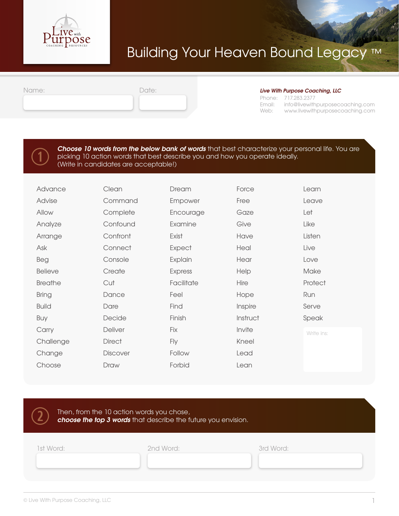

# Building Your Heaven Bound Legacy ™

| mm          |  |  |  |
|-------------|--|--|--|
| $\cup$ iiv, |  |  |  |

#### Date: *Live With Purpose Coaching, LLC*

Phone: 717.283.2377 Email: Web: www.livewithpurposecoaching.com info@livewithpurposecoaching.com

 $\bigodot$ 

#### *Choose 10 words from the below bank of words* that best characterize your personal life. You are picking 10 action words that best describe you and how you operate ideally. (Write in candidates are acceptable!)

| Advance        | Clean         | Dream      | Force    | Learn      |
|----------------|---------------|------------|----------|------------|
| Advise         | Command       | Empower    | Free     | Leave      |
| Allow          | Complete      | Encourage  | Gaze     | Let        |
| Analyze        | Confound      | Examine    | Give     | Like       |
| Arrange        | Confront      | Exist      | Have     | Listen     |
| Ask            | Connect       | Expect     | Heal     | Live       |
| Beg            | Console       | Explain    | Hear     | Love       |
| <b>Believe</b> | Create        | Express    | Help     | Make       |
| <b>Breathe</b> | Cut           | Facilitate | Hire     | Protect    |
| <b>Bring</b>   | Dance         | Feel       | Hope     | Run        |
| <b>Build</b>   | Dare          | Find       | Inspire  | Serve      |
| Buy            | Decide        | Finish     | Instruct | Speak      |
| Carry          | Deliver       | Fix        | Invite   | Write ins: |
| Challenge      | <b>Direct</b> | Fly        | Kneel    |            |
| Change         | Discover      | Follow     | Lead     |            |
| Choose         | Draw          | Forbid     | Lean     |            |
|                |               |            |          |            |

Then, from the 10 action words you chose, *choose the top 3 words* that describe the future you envision.  $\overline{2}$ 

1st Word: 2nd Word: 3rd Word: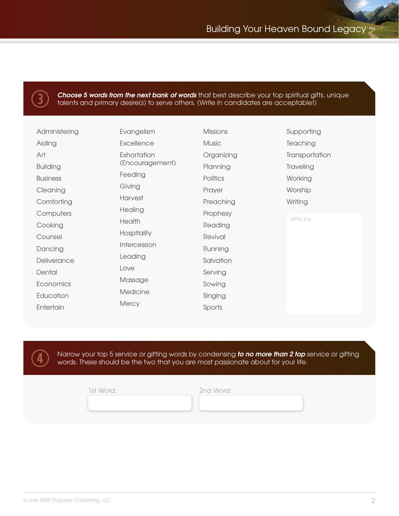

4

**Choose 5 words from the next bank of words** that best describe your top spiritual gifts, unique talents and primary desire(s) to serve others. (Write in candidates are acceptable!)

| Administering   | Evangelism      | <b>Missions</b> | Supporting     |
|-----------------|-----------------|-----------------|----------------|
| Aiding          | Excellence      | <b>Music</b>    | Teaching       |
| Art             | Exhortation     | Organizing      | Transportation |
| <b>Building</b> | (Encouragement) | Planning        | Traveling      |
| <b>Business</b> | Feeding         | Politics        | Working        |
| Cleaning        | Giving          | Prayer          | Worship        |
| Comforting      | Harvest         | Preaching       | Writing        |
| Computers       | Healing         | Prophesy        |                |
| Cooking         | Health          | Reading         | Write ins:     |
| Counsel         | Hospitality     | Revival         |                |
| Dancing         | Intercession    | Running         |                |
| Deliverance     | Leading         | Salvation       |                |
| Dental          | Love            | Serving         |                |
| Economics       | Massage         | Sowing          |                |
| Education       | Medicine        | Singing         |                |
| Entertain       | Mercy           | Sports          |                |

Narrow your top 5 service or gifting words by condensing *to no more than 2 top* service or gifting words. These should be the two that you are most passionate about for your life.

1st Word: 2nd Word: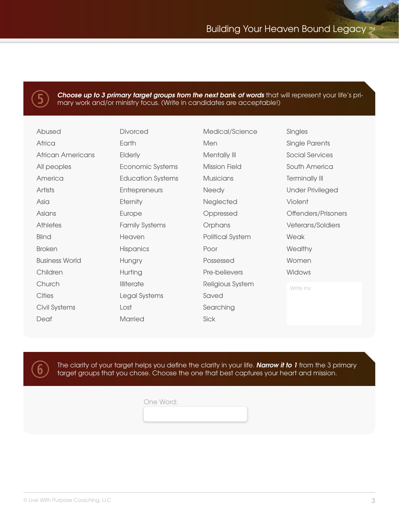

*Choose up to 3 primary target groups from the next bank of words* that will represent your life's primary work and/or ministry focus. (Write in candidates are acceptable!)

| Abused                   | <b>Divorced</b>          | Medical/Science      | Singles                 |
|--------------------------|--------------------------|----------------------|-------------------------|
| Africa                   | Earth                    | Men                  | Single Parents          |
| <b>African Americans</b> | <b>Elderly</b>           | Mentally III         | <b>Social Services</b>  |
| All peoples              | Economic Systems         | <b>Mission Field</b> | South America           |
| America                  | <b>Education Systems</b> | <b>Musicians</b>     | <b>Terminally III</b>   |
| Artists                  | Entrepreneurs            | Needy                | <b>Under Privileged</b> |
| Asia                     | Eternity                 | Neglected            | Violent                 |
| Asians                   | Europe                   | Oppressed            | Offenders/Prisoners     |
| <b>Athletes</b>          | <b>Family Systems</b>    | Orphans              | Veterans/Soldiers       |
| <b>Blind</b>             | Heaven                   | Political System     | Weak                    |
| <b>Broken</b>            | <b>Hispanics</b>         | Poor                 | Wealthy                 |
| <b>Business World</b>    | Hungry                   | Possessed            | Women                   |
| Children                 | Hurting                  | Pre-believers        | Widows                  |
| Church                   | <b>Illiterate</b>        | Religious System     | Write ins:              |
| <b>Cities</b>            | Legal Systems            | Saved                |                         |
| Civil Systems            | Lost                     | Searching            |                         |
| Deaf                     | <b>Married</b>           | Sick                 |                         |



The clarity of your target helps you define the clarity in your life. *Narrow it to 1* from the 3 primary target groups that you chose. Choose the one that best captures your heart and mission.

One Word: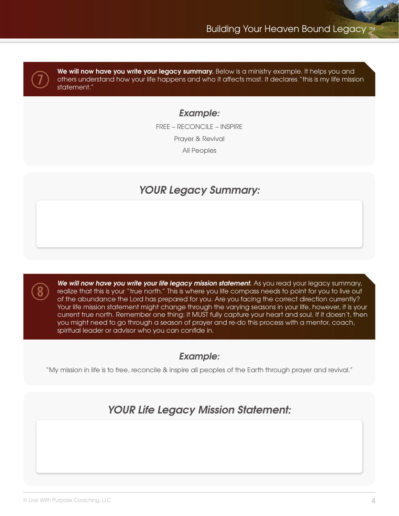$\overline{O}$ 

8

We will now have you write your legacy summary. Below is a ministry example. It helps you and others understand how your life happens and who it affects most. It declares "this is my life mission statement."

## *Example:*

FREE – RECONCILE – INSPIRE Prayer & Revival All Peoples

## *YOUR Legacy Summary:*

*We will now have you write your life legacy mission statement.* As you read your legacy summary, realize that this is your "true north." This is where you life compass needs to point for you to live out of the abundance the Lord has prepared for you. Are you facing the correct direction currently? Your life mission statement might change through the varying seasons in your life, however, it is your current true north. Remember one thing: it MUST fully capture your heart and soul. If it doesn't, then you might need to go through a season of prayer and re-do this process with a mentor, coach, spiritual leader or advisor who you can confide in.

## *Example:*

"My mission in life is to free, reconcile & inspire all peoples of the Earth through prayer and revival."

## *YOUR Life Legacy Mission Statement:*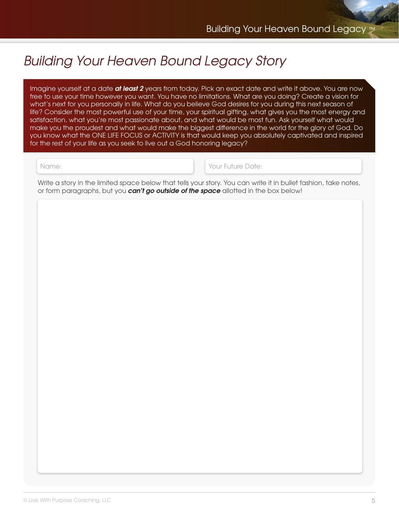# *Building Your Heaven Bound Legacy Story*

Imagine yourself at a date *at least 2* years from today. Pick an exact date and write it above. You are now free to use your time however you want. You have no limitations. What are you doing? Create a vision for what's next for you personally in life. What do you believe God desires for you during this next season of life? Consider the most powerful use of your time, your spiritual gifting, what gives you the most energy and satisfaction, what you're most passionate about, and what would be most fun. Ask yourself what would make you the proudest and what would make the biggest difference in the world for the glory of God. Do you know what the ONE LIFE FOCUS or ACTIVITY is that would keep you absolutely captivated and inspired for the rest of your life as you seek to live out a God honoring legacy?

Name: Your Future Date:

Write a story in the limited space below that tells your story. You can write it in bullet fashion, take notes, or form paragraphs, but you *can't go outside of the space* allotted in the box below!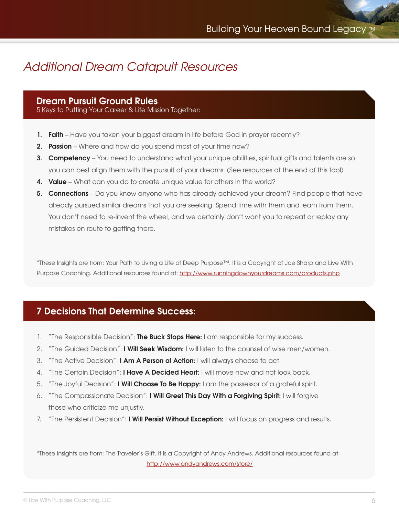# *Additional Dream Catapult Resources*

### **Dream Pursuit Ground Rules**

5 Keys to Putting Your Career & Life Mission Together:

- **1. Faith** Have you taken your biggest dream in life before God in prayer recently?
- **2. Passion** Where and how do you spend most of your time now?
- **3. Competency** You need to understand what your unique abilities, spiritual gifts and talents are so you can best align them with the pursuit of your dreams. (See resources at the end of this tool)
- **4. Value** What can you do to create unique value for others in the world?
- **5. Connections** Do you know anyone who has already achieved your dream? Find people that have already pursued similar dreams that you are seeking. Spend time with them and learn from them. You don't need to re-invent the wheel, and we certainly don't want you to repeat or replay any mistakes en route to getting there.

\*These Insights are from: Your Path to Living a Life of Deep Purpose™. It is a Copyright of Joe Sharp and Live With Purpose Coaching. Additional resources found at: http://www.runningdownyourdreams.com/products.php

## **7 Decisions That Determine Success:**

- 1. "The Responsible Decision": **The Buck Stops Here:** I am responsible for my success.
- 2. "The Guided Decision": **I Will Seek Wisdom:** I will listen to the counsel of wise men/women.
- 3. "The Active Decision": **I Am A Person of Action:** I will always choose to act.
- 4. "The Certain Decision": **I Have A Decided Heart:** I will move now and not look back.
- 5. "The Joyful Decision": **I Will Choose To Be Happy:** I am the possessor of a grateful spirit.
- 6. "The Compassionate Decision": **I Will Greet This Day With a Forgiving Spirit:** I will forgive those who criticize me unjustly.
- 7. "The Persistent Decision": **I Will Persist Without Exception:** I will focus on progress and results.

\*These Insights are from: The Traveler's Gift. It is a Copyright of Andy Andrews. Additional resources found at: http://www.andyandrews.com/store/